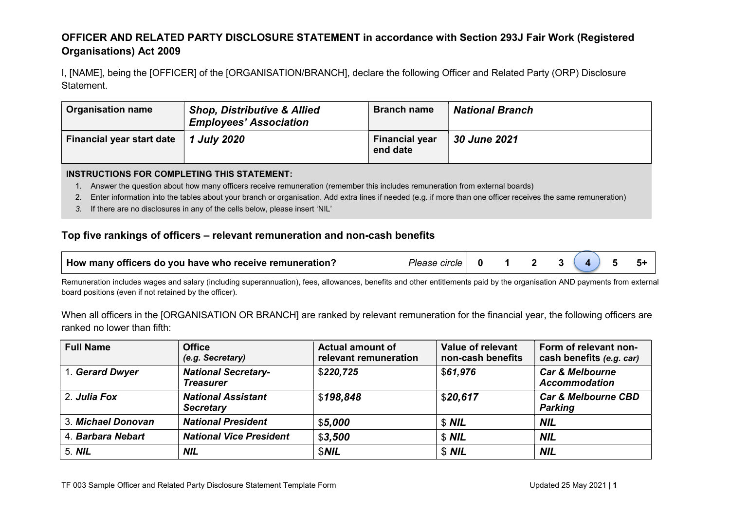## OFFICER AND RELATED PARTY DISCLOSURE STATEMENT in accordance with Section 293J Fair Work (Registered Organisations) Act 2009

I, [NAME], being the [OFFICER] of the [ORGANISATION/BRANCH], declare the following Officer and Related Party (ORP) Disclosure Statement.

| <b>Organisation name</b>  | <b>Shop, Distributive &amp; Allied</b><br><b>Employees' Association</b> | <b>Branch name</b>                | <b>National Branch</b> |
|---------------------------|-------------------------------------------------------------------------|-----------------------------------|------------------------|
| Financial year start date | <i>1 July 2020</i>                                                      | <b>Financial year</b><br>end date | <b>30 June 2021</b>    |

#### INSTRUCTIONS FOR COMPLETING THIS STATEMENT:

- 1. Answer the question about how many officers receive remuneration (remember this includes remuneration from external boards)
- 2. Enter information into the tables about your branch or organisation. Add extra lines if needed (e.g. if more than one officer receives the same remuneration)
- 3. If there are no disclosures in any of the cells below, please insert 'NIL'

### Top five rankings of officers – relevant remuneration and non-cash benefits

| How many officers do you have who receive remuneration? | Please circle   0 $1$ 2 $3$ $(4)$ 5 $5+$ |  |  |  |  |
|---------------------------------------------------------|------------------------------------------|--|--|--|--|
|                                                         |                                          |  |  |  |  |

Remuneration includes wages and salary (including superannuation), fees, allowances, benefits and other entitlements paid by the organisation AND payments from external board positions (even if not retained by the officer).

When all officers in the [ORGANISATION OR BRANCH] are ranked by relevant remuneration for the financial year, the following officers are ranked no lower than fifth:

| <b>Full Name</b>   | <b>Office</b><br>(e.g. Secretary)              | <b>Actual amount of</b><br>relevant remuneration | Value of relevant<br>non-cash benefits | Form of relevant non-<br>cash benefits (e.g. car)  |
|--------------------|------------------------------------------------|--------------------------------------------------|----------------------------------------|----------------------------------------------------|
| 1. Gerard Dwyer    | <b>National Secretary-</b><br><b>Treasurer</b> | \$220,725                                        | \$61,976                               | <b>Car &amp; Melbourne</b><br><b>Accommodation</b> |
| 2. Julia Fox       | <b>National Assistant</b><br><b>Secretary</b>  | \$198,848                                        | \$20,617                               | <b>Car &amp; Melbourne CBD</b><br><b>Parking</b>   |
| 3. Michael Donovan | <b>National President</b>                      | \$5,000                                          | $$$ NIL                                | <b>NIL</b>                                         |
| 4. Barbara Nebart  | <b>National Vice President</b>                 | \$3,500                                          | $$$ NIL                                | <b>NIL</b>                                         |
| 5. NIL             | <b>NIL</b>                                     | <b>SNIL</b>                                      | $$$ NIL                                | <b>NIL</b>                                         |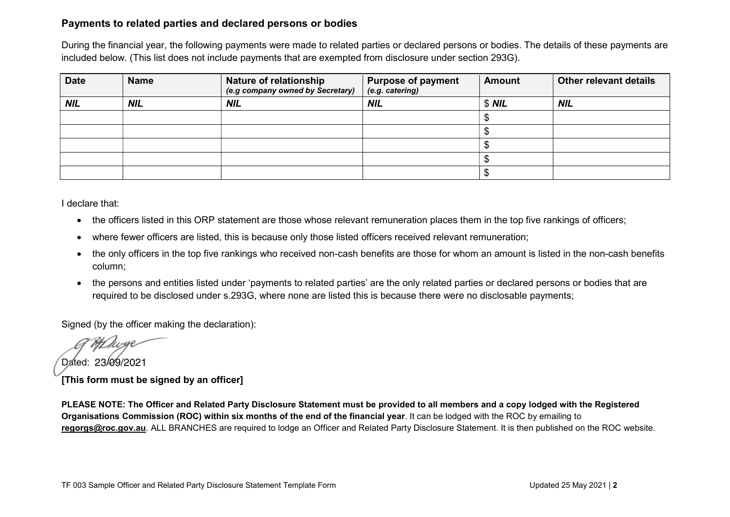### Payments to related parties and declared persons or bodies

During the financial year, the following payments were made to related parties or declared persons or bodies. The details of these payments are included below. (This list does not include payments that are exempted from disclosure under section 293G).

| <b>Date</b> | <b>Name</b> | <b>Nature of relationship</b><br>(e.g company owned by Secretary) | <b>Purpose of payment</b><br>(e.g. catering) | <b>Amount</b> | Other relevant details |
|-------------|-------------|-------------------------------------------------------------------|----------------------------------------------|---------------|------------------------|
| <b>NIL</b>  | <b>NIL</b>  | <b>NIL</b>                                                        | <b>NIL</b>                                   | $$$ NIL       | <b>NIL</b>             |
|             |             |                                                                   |                                              |               |                        |
|             |             |                                                                   |                                              |               |                        |
|             |             |                                                                   |                                              |               |                        |
|             |             |                                                                   |                                              |               |                        |
|             |             |                                                                   |                                              |               |                        |

I declare that:

- the officers listed in this ORP statement are those whose relevant remuneration places them in the top five rankings of officers;
- where fewer officers are listed, this is because only those listed officers received relevant remuneration;
- the only officers in the top five rankings who received non-cash benefits are those for whom an amount is listed in the non-cash benefits column;
- the persons and entities listed under 'payments to related parties' are the only related parties or declared persons or bodies that are required to be disclosed under s.293G, where none are listed this is because there were no disclosable payments;

Signed (by the officer making the declaration):

Dated: 23/09/2021[This form must be signed by an officer]

PLEASE NOTE: The Officer and Related Party Disclosure Statement must be provided to all members and a copy lodged with the Registered Organisations Commission (ROC) within six months of the end of the financial year. It can be lodged with the ROC by emailing to regorgs@roc.gov.au. ALL BRANCHES are required to lodge an Officer and Related Party Disclosure Statement. It is then published on the ROC website.